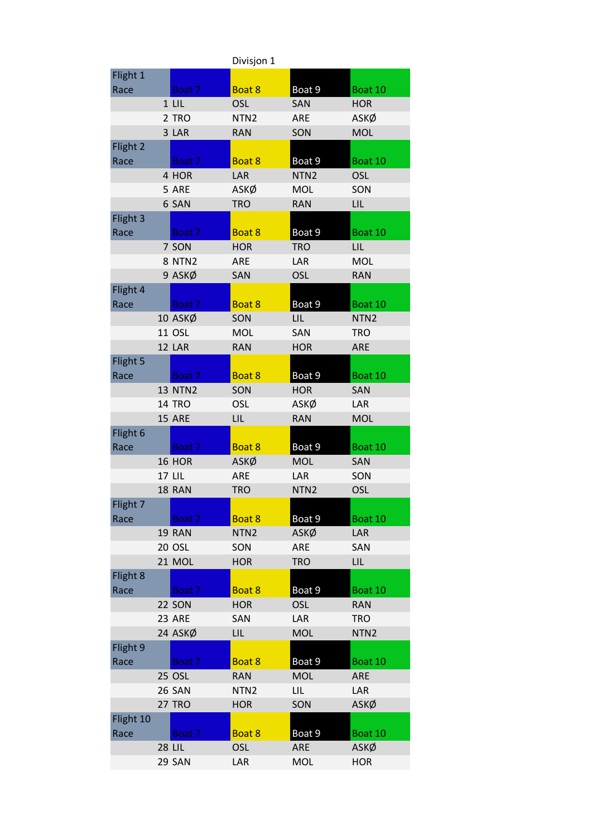|           |                | Divisjon 1       |                  |                  |
|-----------|----------------|------------------|------------------|------------------|
| Flight 1  |                |                  |                  |                  |
| Race      | Boat 7         | Boat 8           | Boat 9           | Boat 10          |
|           | $1$ LIL        | <b>OSL</b>       | <b>SAN</b>       | <b>HOR</b>       |
|           | 2 TRO          | NTN <sub>2</sub> | <b>ARE</b>       | ASKØ             |
|           | 3 LAR          | <b>RAN</b>       | SON              | <b>MOL</b>       |
| Flight 2  |                |                  |                  |                  |
| Race      | Boat 7         | Boat 8           | Boat 9           | Boat 10          |
|           | 4 HOR          | LAR              | NTN <sub>2</sub> | <b>OSL</b>       |
|           | 5 ARE          | ASKØ             | <b>MOL</b>       | SON              |
|           | 6 SAN          | <b>TRO</b>       | <b>RAN</b>       | LIL              |
| Flight 3  |                |                  |                  |                  |
| Race      | Boat 7         | Boat 8           | Boat 9           | Boat 10          |
|           | 7 SON          | <b>HOR</b>       | <b>TRO</b>       | LIL              |
|           | <b>8 NTN2</b>  | <b>ARE</b>       | LAR              | <b>MOL</b>       |
|           | 9 ASKØ         | SAN              | <b>OSL</b>       | <b>RAN</b>       |
| Flight 4  |                |                  |                  |                  |
| Race      | Boat 7         | Boat 8           | Boat 9           | Boat 10          |
|           | 10 ASKØ        | SON              | LIL.             | NTN <sub>2</sub> |
|           | 11 OSL         | <b>MOL</b>       | SAN              | <b>TRO</b>       |
|           | 12 LAR         | <b>RAN</b>       | <b>HOR</b>       | <b>ARE</b>       |
| Flight 5  |                |                  |                  |                  |
| Race      | Boat 7         | Boat 8           | Boat 9           | Boat 10          |
|           | <b>13 NTN2</b> | SON              | <b>HOR</b>       | <b>SAN</b>       |
|           | <b>14 TRO</b>  | <b>OSL</b>       | ASKØ             | LAR              |
|           | 15 ARE         | LIL              | <b>RAN</b>       | <b>MOL</b>       |
| Flight 6  |                |                  |                  |                  |
| Race      | Boat 7         | Boat 8           | Boat 9           | Boat 10          |
|           | <b>16 HOR</b>  | ASKØ             | <b>MOL</b>       | SAN              |
|           | <b>17 LIL</b>  | <b>ARE</b>       | LAR              | SON              |
|           | 18 RAN         | <b>TRO</b>       | NTN <sub>2</sub> | <b>OSL</b>       |
| Flight 7  |                |                  |                  |                  |
| Race      | Boat 7         | Boat 8           | Boat 9           | Boat 10          |
|           | 19 RAN         | NTN <sub>2</sub> | ASKØ             | <b>LAR</b>       |
|           | 20 OSL         | SON              | ARE              | SAN              |
|           | 21 MOL         | <b>HOR</b>       | <b>TRO</b>       | LIL              |
| Flight 8  |                |                  |                  |                  |
| Race      | Boat 7         | Boat 8           | Boat 9           | Boat 10          |
|           | 22 SON         | <b>HOR</b>       | <b>OSL</b>       | <b>RAN</b>       |
|           | <b>23 ARE</b>  | SAN              | LAR              | <b>TRO</b>       |
|           | 24 ASKØ        | <b>LIL</b>       | <b>MOL</b>       | NTN <sub>2</sub> |
| Flight 9  |                |                  |                  |                  |
| Race      | Boat 7         | Boat 8           | Boat 9           | Boat 10          |
|           | <b>25 OSL</b>  | <b>RAN</b>       | <b>MOL</b>       | <b>ARE</b>       |
|           | <b>26 SAN</b>  | NTN <sub>2</sub> | LIL.             | LAR              |
|           | <b>27 TRO</b>  | <b>HOR</b>       | SON              | ASKØ             |
| Flight 10 |                |                  |                  |                  |
| Race      | Boat 7         | Boat 8           | Boat 9           | Boat 10          |
|           | <b>28 LIL</b>  | <b>OSL</b>       | ARE              | ASKØ             |
|           | 29 SAN         | LAR              | <b>MOL</b>       | <b>HOR</b>       |